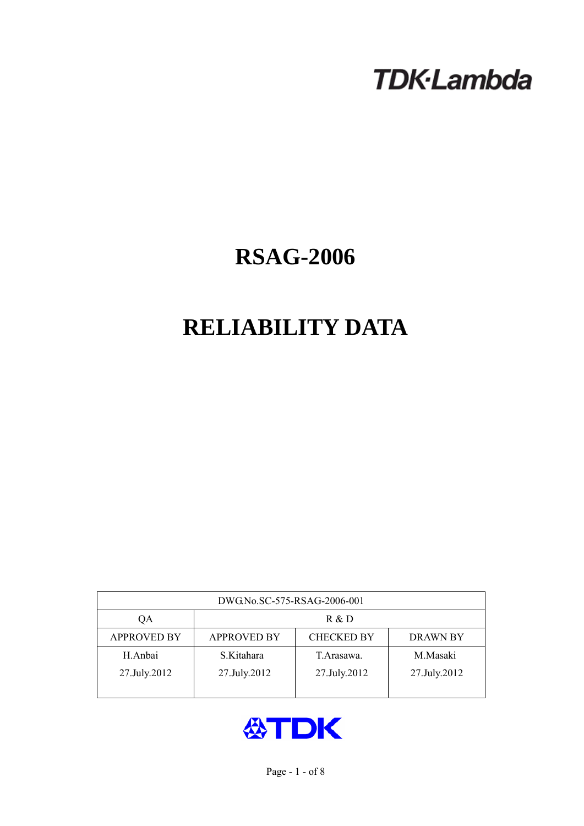# **TDK-Lambda**

## **RSAG-2006**

## **RELIABILITY DATA**

| DWG.No.SC-575-RSAG-2006-001 |                                                            |              |              |  |  |  |
|-----------------------------|------------------------------------------------------------|--------------|--------------|--|--|--|
| QA                          | R & D                                                      |              |              |  |  |  |
| <b>APPROVED BY</b>          | <b>APPROVED BY</b><br><b>CHECKED BY</b><br><b>DRAWN BY</b> |              |              |  |  |  |
| H.Anbai                     | S.Kitahara                                                 | T. Arasawa.  | M.Masaki     |  |  |  |
| 27.July.2012                | 27.July.2012                                               | 27.July.2012 | 27.July.2012 |  |  |  |
|                             |                                                            |              |              |  |  |  |

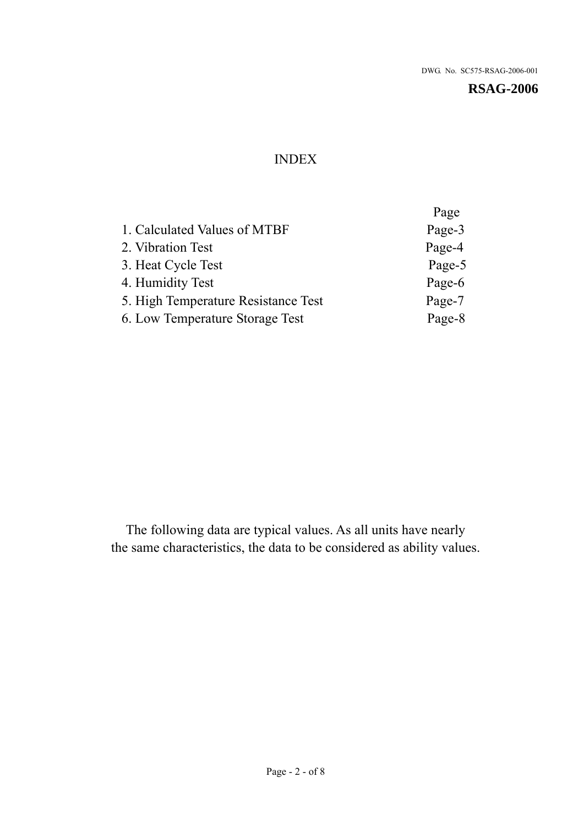## INDEX

|                                     | Page   |
|-------------------------------------|--------|
| 1. Calculated Values of MTBF        | Page-3 |
| 2. Vibration Test                   | Page-4 |
| 3. Heat Cycle Test                  | Page-5 |
| 4. Humidity Test                    | Page-6 |
| 5. High Temperature Resistance Test | Page-7 |
| 6. Low Temperature Storage Test     | Page-8 |
|                                     |        |

The following data are typical values. As all units have nearly the same characteristics, the data to be considered as ability values.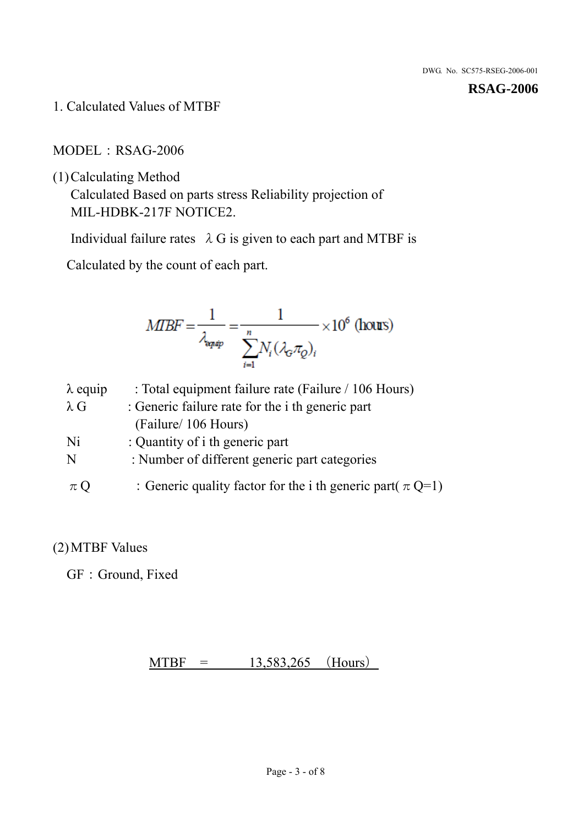1. Calculated Values of MTBF

MODEL:RSAG-2006

(1)Calculating Method

Calculated Based on parts stress Reliability projection of MIL-HDBK-217F NOTICE2.

Individual failure rates  $\lambda$  G is given to each part and MTBF is

Calculated by the count of each part.

$$
MIBF = \frac{1}{\lambda_{\text{expap}}} = \frac{1}{\sum_{i=1}^{n} N_i (\lambda_{\text{G}} \pi_Q)_i} \times 10^6 \text{ (hours)}
$$

| $\lambda$ equip | : Total equipment failure rate (Failure / 106 Hours)            |
|-----------------|-----------------------------------------------------------------|
| $\lambda$ G     | : Generic failure rate for the <i>i</i> th generic part         |
|                 | (Failure/ 106 Hours)                                            |
| Ni              | : Quantity of i th generic part                                 |
| N               | : Number of different generic part categories                   |
| $\pi Q$         | : Generic quality factor for the i th generic part( $\pi Q=1$ ) |

## (2)MTBF Values

GF: Ground, Fixed

 $MTBF = 13,583,265$  (Hours)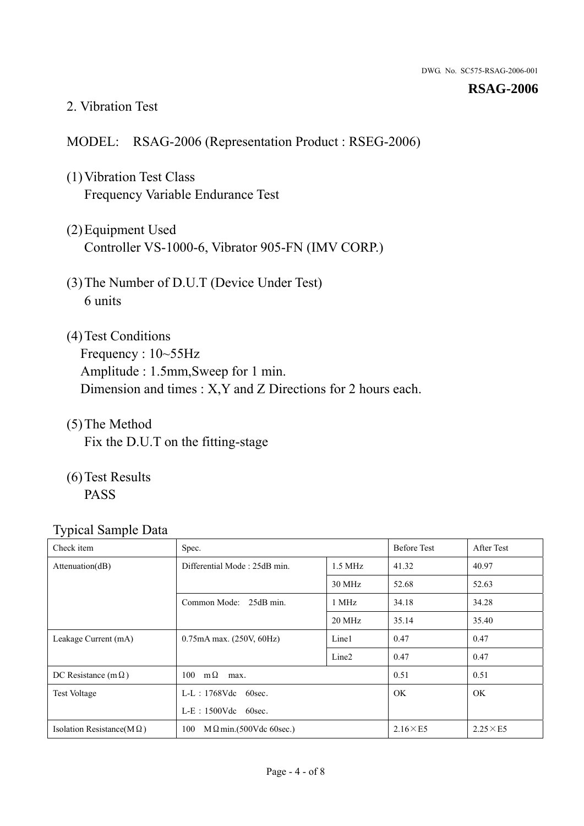#### 2. Vibration Test

### MODEL: RSAG-2006 (Representation Product : RSEG-2006)

- (1)Vibration Test Class Frequency Variable Endurance Test
- (2)Equipment Used Controller VS-1000-6, Vibrator 905-FN (IMV CORP.)
- (3)The Number of D.U.T (Device Under Test) 6 units
- (4) Test Conditions Frequency : 10~55Hz Amplitude : 1.5mm,Sweep for 1 min. Dimension and times : X,Y and Z Directions for 2 hours each.
- (5)The Method Fix the D.U.T on the fitting-stage
- (6)Test Results PASS

| ┙┸<br>Check item                  | Spec.                                             |                   | <b>Before Test</b> | After Test      |
|-----------------------------------|---------------------------------------------------|-------------------|--------------------|-----------------|
| Attenuation(dB)                   | Differential Mode: 25dB min.<br>$1.5 \text{ MHz}$ |                   | 41.32              | 40.97           |
|                                   |                                                   | 30 MHz            | 52.68              | 52.63           |
|                                   | Common Mode: 25dB min.                            | 1 MHz             | 34.18              | 34.28           |
|                                   |                                                   | 20 MHz            | 35.14              | 35.40           |
| Leakage Current (mA)              | $0.75mA$ max. $(250V, 60Hz)$                      | Line1             | 0.47               | 0.47            |
|                                   |                                                   | Line <sub>2</sub> | 0.47               | 0.47            |
| DC Resistance (m $\Omega$ )       | $100 \text{ m}\Omega$<br>max.                     |                   | 0.51               | 0.51            |
| <b>Test Voltage</b>               | $L-L$ : 1768Vdc 60sec.                            |                   | <b>OK</b>          | OK              |
|                                   | $L-E$ : 1500Vdc 60sec.                            |                   |                    |                 |
| Isolation Resistance(M $\Omega$ ) | $M\Omega$ min.(500Vdc 60sec.)<br>100              |                   | $2.16\times E5$    | $2.25\times E5$ |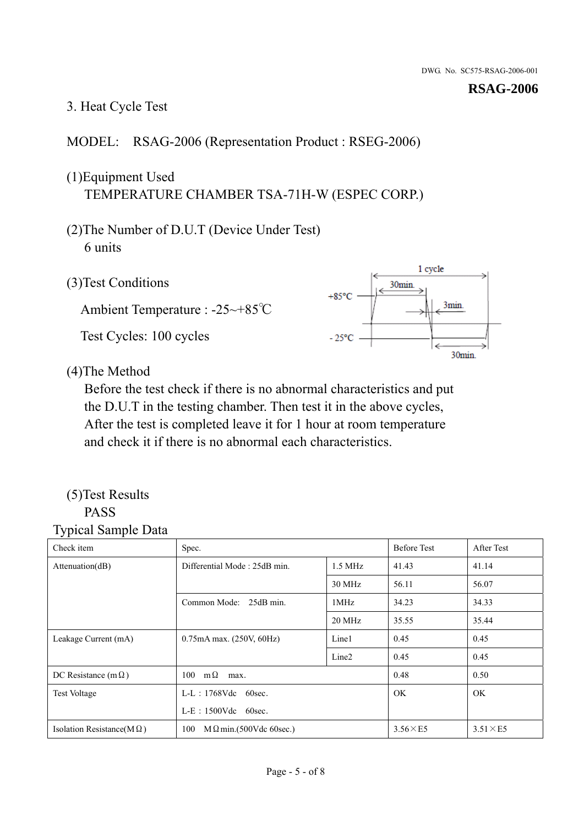## 3. Heat Cycle Test

## MODEL: RSAG-2006 (Representation Product : RSEG-2006)

## (1)Equipment Used TEMPERATURE CHAMBER TSA-71H-W (ESPEC CORP.)

- (2)The Number of D.U.T (Device Under Test) 6 units
- 1 cycle (3)Test Conditions 30<sub>min</sub>  $+85^{\circ}$ C 3min. Ambient Temperature : -25~+85℃ Test Cycles: 100 cycles  $-25^{\circ}$ C 30min.

(4)The Method

Before the test check if there is no abnormal characteristics and put the D.U.T in the testing chamber. Then test it in the above cycles, After the test is completed leave it for 1 hour at room temperature and check it if there is no abnormal each characteristics.

#### (5)Test Results PASS

| ┙┸<br>Check item                  | Spec.                                     |                   | <b>Before Test</b> | After Test      |
|-----------------------------------|-------------------------------------------|-------------------|--------------------|-----------------|
| Attention(dB)                     | Differential Mode: 25dB min.<br>$1.5$ MHz |                   | 41.43              | 41.14           |
|                                   |                                           | 30 MHz            | 56.11              | 56.07           |
|                                   | Common Mode: 25dB min.                    | 1MHz              | 34.23              | 34.33           |
|                                   |                                           | 20 MHz            | 35.55              | 35.44           |
| Leakage Current (mA)              | 0.75mA max. (250V, 60Hz)                  | Line1             | 0.45               | 0.45            |
|                                   |                                           | Line <sub>2</sub> | 0.45               | 0.45            |
| DC Resistance (m $\Omega$ )       | $100 \quad m\Omega$<br>max.               |                   | 0.48               | 0.50            |
| <b>Test Voltage</b>               | $L-L$ : 1768Vdc 60sec.                    |                   | OK.                | OK.             |
|                                   | $L-E$ : 1500Vdc 60sec.                    |                   |                    |                 |
| Isolation Resistance(M $\Omega$ ) | 100<br>$M\Omega$ min.(500Vdc 60sec.)      |                   | $3.56\times E5$    | $3.51\times E5$ |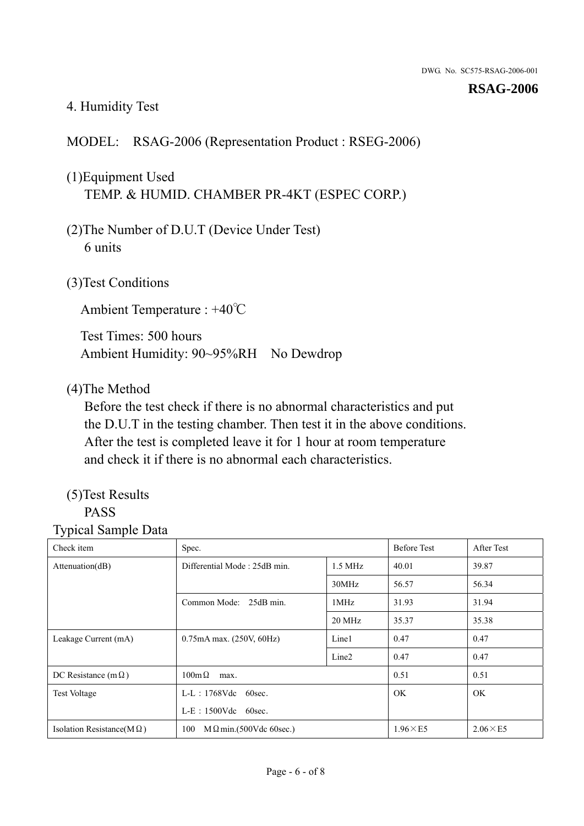## 4. Humidity Test

## MODEL: RSAG-2006 (Representation Product : RSEG-2006)

## (1)Equipment Used TEMP. & HUMID. CHAMBER PR-4KT (ESPEC CORP.)

- (2)The Number of D.U.T (Device Under Test) 6 units
- (3)Test Conditions

Ambient Temperature : +40℃

Test Times: 500 hours Ambient Humidity: 90~95%RH No Dewdrop

#### (4)The Method

Before the test check if there is no abnormal characteristics and put the D.U.T in the testing chamber. Then test it in the above conditions. After the test is completed leave it for 1 hour at room temperature and check it if there is no abnormal each characteristics.

## (5)Test Results

## PASS

| Check item                        | Spec.                                     |                   | <b>Before Test</b> | After Test      |
|-----------------------------------|-------------------------------------------|-------------------|--------------------|-----------------|
| Attention(dB)                     | Differential Mode: 25dB min.<br>$1.5$ MHz |                   | 40.01              | 39.87           |
|                                   |                                           | 30MHz             | 56.57              | 56.34           |
|                                   | Common Mode: 25dB min.                    | 1MHz              | 31.93              | 31.94           |
|                                   |                                           | 20 MHz            | 35.37              | 35.38           |
| Leakage Current (mA)              | 0.75mA max. (250V, 60Hz)                  | Line1             | 0.47               | 0.47            |
|                                   |                                           | Line <sub>2</sub> | 0.47               | 0.47            |
| DC Resistance (m $\Omega$ )       | $100\text{m}\,\Omega$<br>max.             |                   | 0.51               | 0.51            |
| <b>Test Voltage</b>               | $L-L$ : 1768Vdc 60sec.                    |                   | OK.                | OK.             |
|                                   | $L-E$ : 1500Vdc 60sec.                    |                   |                    |                 |
| Isolation Resistance(M $\Omega$ ) | $M \Omega$ min.(500Vdc 60sec.)<br>100     |                   | $1.96\times E5$    | $2.06\times E5$ |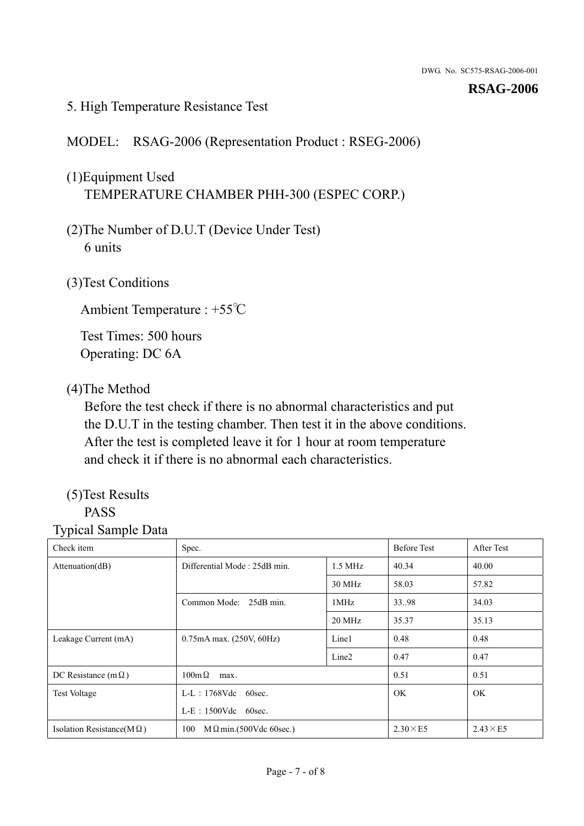### 5. High Temperature Resistance Test

### MODEL: RSAG-2006 (Representation Product : RSEG-2006)

## (1)Equipment Used TEMPERATURE CHAMBER PHH-300 (ESPEC CORP.)

- (2)The Number of D.U.T (Device Under Test) 6 units
- (3)Test Conditions

Ambient Temperature : +55℃

Test Times: 500 hours Operating: DC 6A

#### (4)The Method

Before the test check if there is no abnormal characteristics and put the D.U.T in the testing chamber. Then test it in the above conditions. After the test is completed leave it for 1 hour at room temperature and check it if there is no abnormal each characteristics.

## (5)Test Results

## PASS

| Check item                        | Spec.                                     |                   | <b>Before Test</b> | After Test      |
|-----------------------------------|-------------------------------------------|-------------------|--------------------|-----------------|
| Attenuation(dB)                   | Differential Mode: 25dB min.<br>$1.5$ MHz |                   | 40.34              | 40.00           |
|                                   |                                           | 30 MHz            | 58.03              | 57.82           |
|                                   | Common Mode: 25dB min.                    | 1MHz              | 33.98              | 34.03           |
|                                   |                                           | 20 MHz            | 35.37              | 35.13           |
| Leakage Current (mA)              | 0.75mA max. (250V, 60Hz)                  | Line1             | 0.48               | 0.48            |
|                                   |                                           | Line <sub>2</sub> | 0.47               | 0.47            |
| DC Resistance (m $\Omega$ )       | $100 \text{m}\,\Omega$<br>max.            |                   | 0.51               | 0.51            |
| <b>Test Voltage</b>               | $L-L$ : 1768Vdc 60sec.                    |                   | OK.                | OK.             |
|                                   | $L-E$ : 1500Vdc 60sec.                    |                   |                    |                 |
| Isolation Resistance(M $\Omega$ ) | $M \Omega$ min.(500Vdc 60sec.)<br>100     |                   | $2.30\times E5$    | $2.43\times E5$ |